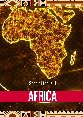## **SKAISIST**

## **Special focus II**

# **AFRICA**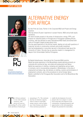

#### **EXPERT OPINION**







contacts *[ines.pintodacosta@plmj.pt](mailto:ines.pintodacosta%40plmj.pt?subject=) [Neylla.Gulamhussen@plmj.pt](mailto:Neylla.Gulamhussen%40plmj.pt?subject=)*

### ALTERNATIVE ENERGY FOR AFRICA

By Inês Pinto da Costa, Partner in the Corporate M&A and Project and Energy practices

Inês has almost 20 years' experience in project finance, M&A and private equity operations.

Her work includes projects in the areas of infrastructure, energy, PPPs, and projects for industrial plants in Portugal and in Portuguese-speaking African countries. Inês has advised on many international M&A deals and worked with some of Portugal's largest private equity firms.

She has great experience in the African market, dealing not only with questions of financing, but also in construction contracts and private investment. Inês has postgraduation in securities law and in international trade law at the University of Lisbon. She also has an executive master's in management for lawyers from Universidade Católica Portuguesa.

By Neylla Gulamhussen, Associate at the Corporate M&A practice Neylla has great experience in the Mozambique market advising primarily on corporate and commercial law, real estate and employment and labour. Neylla has experience in drafting, reviewing and negotiating various types of contracts, and in incorporating companies in Mozambique. In the area of employment and labour law, she advises on drafting, revision and termination of employment contracts, and on the procedures to recruit foreign labour. Neylla is admitted to the Portuguese Bar Association and to the Mozambican Bar Association.

The African continent<br>
is very rich in natural<br>
resources, with<br>
proven oil reserves<br>
representing 8% of the world's is very rich in natural resources, with proven oil reserves stock and those of natural gas

amounting to 7%. The continent also has an immense capacity when it comes to renewable energy sources, such as hydro, sun, wind, biomass and others. It has enormous potential to

enable the development of several projects (be it on a larger or a more local scale) that will empower local communities, bringing prosperity and opportunities to the rural population. Despite the potential for renewables,